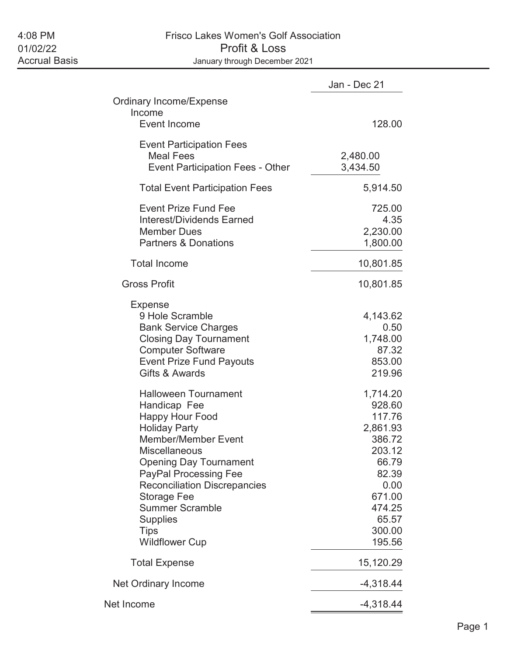# 4:08 PM Frisco Lakes Women's Golf Association 01/02/22 Profit & Loss January through December 2021

|                                                                                                                                                                                                                                                                                                                                                                        | Jan - Dec 21                                                                                                                            |
|------------------------------------------------------------------------------------------------------------------------------------------------------------------------------------------------------------------------------------------------------------------------------------------------------------------------------------------------------------------------|-----------------------------------------------------------------------------------------------------------------------------------------|
| <b>Ordinary Income/Expense</b><br>Income                                                                                                                                                                                                                                                                                                                               |                                                                                                                                         |
| Event Income                                                                                                                                                                                                                                                                                                                                                           | 128.00                                                                                                                                  |
| <b>Event Participation Fees</b><br><b>Meal Fees</b><br><b>Event Participation Fees - Other</b>                                                                                                                                                                                                                                                                         | 2,480.00<br>3,434.50                                                                                                                    |
| <b>Total Event Participation Fees</b>                                                                                                                                                                                                                                                                                                                                  | 5,914.50                                                                                                                                |
| <b>Event Prize Fund Fee</b><br><b>Interest/Dividends Earned</b><br><b>Member Dues</b><br><b>Partners &amp; Donations</b>                                                                                                                                                                                                                                               | 725.00<br>4.35<br>2,230.00<br>1,800.00                                                                                                  |
| <b>Total Income</b>                                                                                                                                                                                                                                                                                                                                                    | 10,801.85                                                                                                                               |
| <b>Gross Profit</b>                                                                                                                                                                                                                                                                                                                                                    | 10,801.85                                                                                                                               |
| <b>Expense</b><br>9 Hole Scramble<br><b>Bank Service Charges</b><br><b>Closing Day Tournament</b><br><b>Computer Software</b><br><b>Event Prize Fund Payouts</b><br>Gifts & Awards                                                                                                                                                                                     | 4,143.62<br>0.50<br>1,748.00<br>87.32<br>853.00<br>219.96                                                                               |
| <b>Halloween Tournament</b><br>Handicap Fee<br><b>Happy Hour Food</b><br><b>Holiday Party</b><br><b>Member/Member Event</b><br><b>Miscellaneous</b><br><b>Opening Day Tournament</b><br><b>PayPal Processing Fee</b><br><b>Reconciliation Discrepancies</b><br><b>Storage Fee</b><br><b>Summer Scramble</b><br><b>Supplies</b><br><b>Tips</b><br><b>Wildflower Cup</b> | 1,714.20<br>928.60<br>117.76<br>2,861.93<br>386.72<br>203.12<br>66.79<br>82.39<br>0.00<br>671.00<br>474.25<br>65.57<br>300.00<br>195.56 |
| <b>Total Expense</b>                                                                                                                                                                                                                                                                                                                                                   | 15,120.29                                                                                                                               |
| Net Ordinary Income                                                                                                                                                                                                                                                                                                                                                    | $-4,318.44$                                                                                                                             |
| Net Income                                                                                                                                                                                                                                                                                                                                                             | $-4,318.44$                                                                                                                             |
|                                                                                                                                                                                                                                                                                                                                                                        |                                                                                                                                         |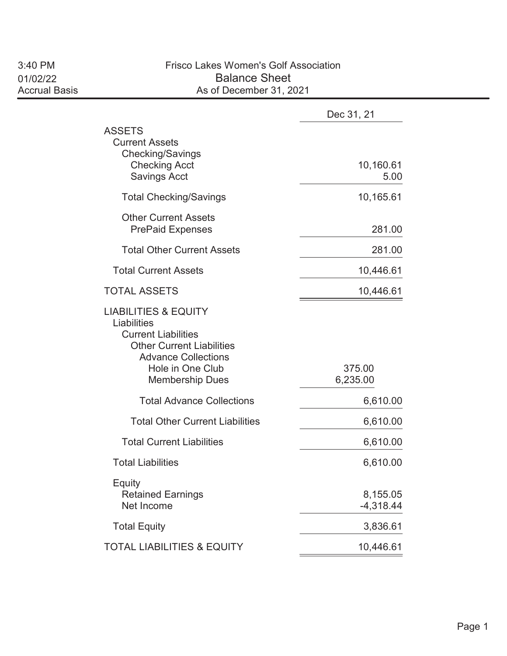## 3:40 PM Frisco Lakes Women's Golf Association 01/02/22 Balance Sheet<br>Accrual Basis Accrual Basis As of December 31, 20 As of December 31, 2021

|                                                                                                                                                                                              | Dec 31, 21              |
|----------------------------------------------------------------------------------------------------------------------------------------------------------------------------------------------|-------------------------|
| <b>ASSETS</b><br><b>Current Assets</b><br><b>Checking/Savings</b><br><b>Checking Acct</b><br><b>Savings Acct</b>                                                                             | 10,160.61<br>5.00       |
| <b>Total Checking/Savings</b>                                                                                                                                                                | 10,165.61               |
| <b>Other Current Assets</b><br><b>PrePaid Expenses</b>                                                                                                                                       | 281.00                  |
| <b>Total Other Current Assets</b>                                                                                                                                                            | 281.00                  |
| <b>Total Current Assets</b>                                                                                                                                                                  | 10,446.61               |
| <b>TOTAL ASSETS</b>                                                                                                                                                                          | 10,446.61               |
| <b>LIABILITIES &amp; EQUITY</b><br>Liabilities<br><b>Current Liabilities</b><br><b>Other Current Liabilities</b><br><b>Advance Collections</b><br>Hole in One Club<br><b>Membership Dues</b> | 375.00<br>6,235.00      |
| <b>Total Advance Collections</b>                                                                                                                                                             | 6,610.00                |
| <b>Total Other Current Liabilities</b>                                                                                                                                                       | 6,610.00                |
| <b>Total Current Liabilities</b>                                                                                                                                                             | 6,610.00                |
| <b>Total Liabilities</b>                                                                                                                                                                     | 6,610.00                |
| Equity<br><b>Retained Earnings</b><br>Net Income                                                                                                                                             | 8,155.05<br>$-4,318.44$ |
| <b>Total Equity</b>                                                                                                                                                                          | 3,836.61                |
| <b>TOTAL LIABILITIES &amp; EQUITY</b>                                                                                                                                                        | 10,446.61               |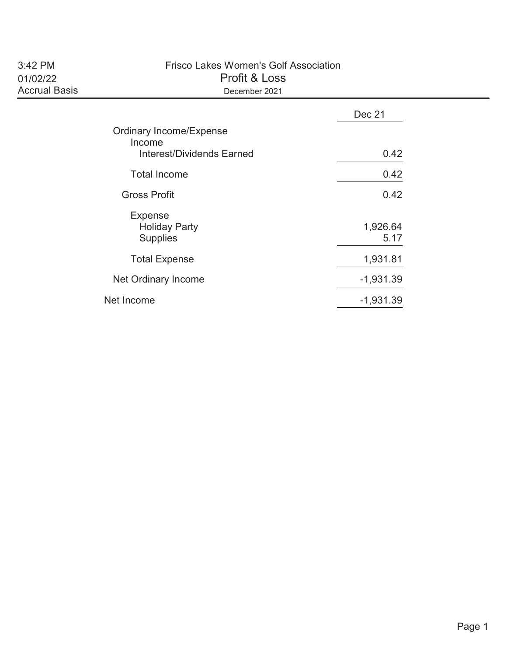| 3:42 PM              |
|----------------------|
| 01/02/22             |
| <b>Accrual Basis</b> |

#### Frisco Lakes Women's Golf Association Profit & Loss December 2021

|                                                           | Dec 21           |
|-----------------------------------------------------------|------------------|
| <b>Ordinary Income/Expense</b><br>Income                  |                  |
| Interest/Dividends Earned                                 | 0.42             |
| <b>Total Income</b>                                       | 0.42             |
| <b>Gross Profit</b>                                       | 0.42             |
| <b>Expense</b><br><b>Holiday Party</b><br><b>Supplies</b> | 1,926.64<br>5.17 |
| <b>Total Expense</b>                                      | 1,931.81         |
| Net Ordinary Income                                       | $-1,931.39$      |
| Net Income                                                | $-1,931.39$      |
|                                                           |                  |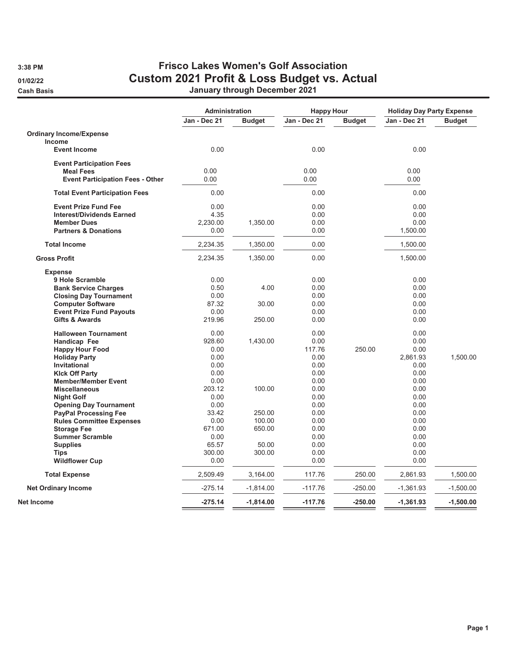## 3:38 PM Frisco Lakes Women's Golf Association 01/02/22 Custom 2021 Profit & Loss Budget vs. Actual Cash Basis January through December 2021

|                                         | Administration |               | <b>Happy Hour</b> |               | <b>Holiday Day Party Expense</b> |               |
|-----------------------------------------|----------------|---------------|-------------------|---------------|----------------------------------|---------------|
|                                         | Jan - Dec 21   | <b>Budget</b> | Jan - Dec 21      | <b>Budget</b> | Jan - Dec 21                     | <b>Budget</b> |
| <b>Ordinary Income/Expense</b>          |                |               |                   |               |                                  |               |
| <b>Income</b>                           |                |               |                   |               |                                  |               |
| <b>Event Income</b>                     | 0.00           |               | 0.00              |               | 0.00                             |               |
| <b>Event Participation Fees</b>         |                |               |                   |               |                                  |               |
| <b>Meal Fees</b>                        | 0.00           |               | 0.00              |               | 0.00                             |               |
| <b>Event Participation Fees - Other</b> | 0.00           |               | 0.00              |               | 0.00                             |               |
| <b>Total Event Participation Fees</b>   | 0.00           |               | 0.00              |               | 0.00                             |               |
| <b>Event Prize Fund Fee</b>             | 0.00           |               | 0.00              |               | 0.00                             |               |
| <b>Interest/Dividends Earned</b>        | 4.35           |               | 0.00              |               | 0.00                             |               |
| <b>Member Dues</b>                      | 2,230.00       | 1,350.00      | 0.00              |               | 0.00                             |               |
| <b>Partners &amp; Donations</b>         | 0.00           |               | 0.00              |               | 1,500.00                         |               |
| <b>Total Income</b>                     | 2,234.35       | 1,350.00      | 0.00              |               | 1,500.00                         |               |
| <b>Gross Profit</b>                     | 2,234.35       | 1,350.00      | 0.00              |               | 1,500.00                         |               |
| <b>Expense</b>                          |                |               |                   |               |                                  |               |
| 9 Hole Scramble                         | 0.00           |               | 0.00              |               | 0.00                             |               |
| <b>Bank Service Charges</b>             | 0.50           | 4.00          | 0.00              |               | 0.00                             |               |
| <b>Closing Day Tournament</b>           | 0.00           |               | 0.00              |               | 0.00                             |               |
| <b>Computer Software</b>                | 87.32          | 30.00         | 0.00              |               | 0.00                             |               |
| <b>Event Prize Fund Payouts</b>         | 0.00           |               | 0.00              |               | 0.00                             |               |
| <b>Gifts &amp; Awards</b>               | 219.96         | 250.00        | 0.00              |               | 0.00                             |               |
| <b>Halloween Tournament</b>             | 0.00           |               | 0.00              |               | 0.00                             |               |
| Handicap Fee                            | 928.60         | 1,430.00      | 0.00              |               | 0.00                             |               |
| <b>Happy Hour Food</b>                  | 0.00           |               | 117.76            | 250.00        | 0.00                             |               |
| <b>Holiday Party</b>                    | 0.00           |               | 0.00              |               | 2,861.93                         | 1,500.00      |
| Invitational                            | 0.00           |               | 0.00              |               | 0.00                             |               |
| <b>Klck Off Party</b>                   | 0.00           |               | 0.00              |               | 0.00                             |               |
| <b>Member/Member Event</b>              | 0.00           |               | 0.00              |               | 0.00                             |               |
| <b>Miscellaneous</b>                    | 203.12         | 100.00        | 0.00              |               | 0.00                             |               |
| <b>Night Golf</b>                       | 0.00           |               | 0.00              |               | 0.00                             |               |
| <b>Opening Day Tournament</b>           | 0.00           |               | 0.00              |               | 0.00                             |               |
| <b>PayPal Processing Fee</b>            | 33.42          | 250.00        | 0.00              |               | 0.00                             |               |
| <b>Rules Committee Expenses</b>         | 0.00           | 100.00        | 0.00              |               | 0.00                             |               |
| <b>Storage Fee</b>                      | 671.00         | 650.00        | 0.00              |               | 0.00                             |               |
| <b>Summer Scramble</b>                  | 0.00           |               | 0.00              |               | 0.00                             |               |
| <b>Supplies</b>                         | 65.57          | 50.00         | 0.00              |               | 0.00                             |               |
| Tips                                    | 300.00         | 300.00        | 0.00              |               | 0.00                             |               |
| <b>Wildflower Cup</b>                   | 0.00           |               | 0.00              |               | 0.00                             |               |
| <b>Total Expense</b>                    | 2,509.49       | 3,164.00      | 117.76            | 250.00        | 2,861.93                         | 1,500.00      |
| <b>Net Ordinary Income</b>              | $-275.14$      | $-1,814.00$   | -117.76           | -250.00       | -1,361.93                        | $-1,500.00$   |
| Net Income                              | $-275.14$      | $-1,814.00$   | $-117.76$         | $-250.00$     | $-1,361.93$                      | $-1,500.00$   |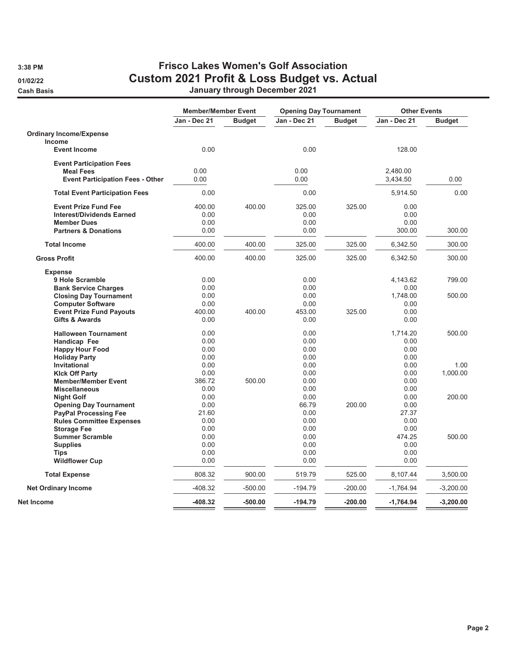## 3:38 PM Frisco Lakes Women's Golf Association 01/02/22 Custom 2021 Profit & Loss Budget vs. Actual Cash Basis January through December 2021

|                                              | <b>Member/Member Event</b> |               | <b>Opening Day Tournament</b> |               | <b>Other Events</b> |               |
|----------------------------------------------|----------------------------|---------------|-------------------------------|---------------|---------------------|---------------|
|                                              | Jan - Dec 21               | <b>Budget</b> | Jan - Dec 21                  | <b>Budget</b> | Jan - Dec 21        | <b>Budget</b> |
| <b>Ordinary Income/Expense</b>               |                            |               |                               |               |                     |               |
| <b>Income</b>                                |                            |               |                               |               |                     |               |
| <b>Event Income</b>                          | 0.00                       |               | 0.00                          |               | 128.00              |               |
| <b>Event Participation Fees</b>              |                            |               |                               |               |                     |               |
| <b>Meal Fees</b>                             | 0.00                       |               | 0.00                          |               | 2,480.00            |               |
| <b>Event Participation Fees - Other</b>      | 0.00                       |               | 0.00                          |               | 3,434.50            | 0.00          |
| <b>Total Event Participation Fees</b>        | 0.00                       |               | 0.00                          |               | 5,914.50            | 0.00          |
| <b>Event Prize Fund Fee</b>                  | 400.00                     | 400.00        | 325.00                        | 325.00        | 0.00                |               |
| <b>Interest/Dividends Earned</b>             | 0.00                       |               | 0.00                          |               | 0.00                |               |
| <b>Member Dues</b>                           | 0.00                       |               | 0.00                          |               | 0.00                |               |
|                                              | 0.00                       |               | 0.00                          |               |                     | 300.00        |
| <b>Partners &amp; Donations</b>              |                            |               |                               |               | 300.00              |               |
| <b>Total Income</b>                          | 400.00                     | 400.00        | 325.00                        | 325.00        | 6,342.50            | 300.00        |
| <b>Gross Profit</b>                          | 400.00                     | 400.00        | 325.00                        | 325.00        | 6,342.50            | 300.00        |
| <b>Expense</b>                               |                            |               |                               |               |                     |               |
| 9 Hole Scramble                              | 0.00                       |               | 0.00                          |               | 4,143.62            | 799.00        |
| <b>Bank Service Charges</b>                  | 0.00                       |               | 0.00                          |               | 0.00                |               |
| <b>Closing Day Tournament</b>                | 0.00                       |               | 0.00                          |               | 1,748.00            | 500.00        |
| <b>Computer Software</b>                     | 0.00                       |               | 0.00                          |               | 0.00                |               |
| <b>Event Prize Fund Payouts</b>              | 400.00                     | 400.00        | 453.00                        | 325.00        | 0.00                |               |
| <b>Gifts &amp; Awards</b>                    | 0.00                       |               | 0.00                          |               | 0.00                |               |
| <b>Halloween Tournament</b>                  | 0.00                       |               | 0.00                          |               | 1.714.20            | 500.00        |
| Handicap Fee                                 | 0.00                       |               | 0.00                          |               | 0.00                |               |
| <b>Happy Hour Food</b>                       | 0.00                       |               | 0.00                          |               | 0.00                |               |
| <b>Holiday Party</b>                         | 0.00                       |               | 0.00                          |               | 0.00                |               |
| Invitational                                 | 0.00                       |               | 0.00                          |               | 0.00                | 1.00          |
| <b>Kick Off Party</b>                        | 0.00                       |               | 0.00                          |               | 0.00                | 1,000.00      |
| <b>Member/Member Event</b>                   | 386.72                     | 500.00        | 0.00                          |               | 0.00                |               |
| <b>Miscellaneous</b>                         | 0.00                       |               | 0.00                          |               | 0.00                |               |
| <b>Night Golf</b>                            | 0.00                       |               | 0.00                          |               | 0.00                | 200.00        |
| <b>Opening Day Tournament</b>                | 0.00                       |               | 66.79                         | 200.00        | 0.00                |               |
| <b>PayPal Processing Fee</b>                 | 21.60                      |               | 0.00                          |               | 27.37               |               |
| <b>Rules Committee Expenses</b>              | 0.00                       |               | 0.00                          |               | 0.00                |               |
|                                              | 0.00                       |               | 0.00                          |               | 0.00                |               |
| <b>Storage Fee</b><br><b>Summer Scramble</b> | 0.00                       |               | 0.00                          |               | 474.25              | 500.00        |
|                                              |                            |               |                               |               |                     |               |
| <b>Supplies</b>                              | 0.00                       |               | 0.00                          |               | 0.00                |               |
| <b>Tips</b><br><b>Wildflower Cup</b>         | 0.00<br>0.00               |               | 0.00<br>0.00                  |               | 0.00<br>0.00        |               |
|                                              | 808.32                     | 900.00        | 519.79                        | 525.00        | 8,107.44            | 3,500.00      |
| <b>Total Expense</b>                         |                            |               |                               |               |                     |               |
| <b>Net Ordinary Income</b>                   | $-408.32$                  | $-500.00$     | $-194.79$                     | $-200.00$     | $-1,764.94$         | $-3,200.00$   |
| Net Income                                   | -408.32                    | $-500.00$     | $-194.79$                     | $-200.00$     | $-1,764.94$         | $-3,200.00$   |